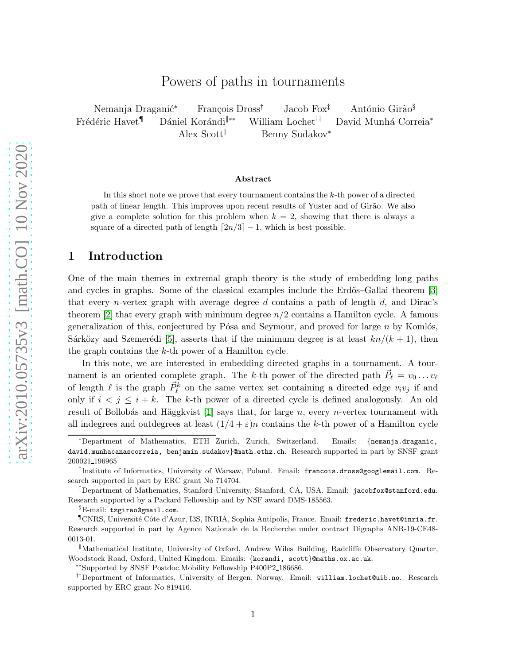# Powers of paths in tournaments

Nemanja Draganić<sup>∗</sup> François Dross<sup>†</sup> Jacob Fox<sup>‡</sup> António Girão<sup>§</sup> Frédéric Havet<sup>¶</sup> Dániel Korándi<sup>|</sup>\*\* William Lochet<sup>††</sup> David Munhá Correia<sup>\*</sup> Alex Scott‖ Benny Sudakov<sup>∗</sup>

#### Abstract

In this short note we prove that every tournament contains the  $k$ -th power of a directed path of linear length. This improves upon recent results of Yuster and of Girão. We also give a complete solution for this problem when  $k = 2$ , showing that there is always a square of a directed path of length  $\lceil 2n/3 \rceil - 1$ , which is best possible.

## 1 Introduction

One of the main themes in extremal graph theory is the study of embedding long paths and cycles in graphs. Some of the classical examples include the Erdős–Gallai theorem [\[3\]](#page-5-0) that every *n*-vertex graph with average degree d contains a path of length d, and Dirac's theorem  $[2]$  that every graph with minimum degree  $n/2$  contains a Hamilton cycle. A famous generalization of this, conjectured by Pósa and Seymour, and proved for large  $n$  by Komlós, Sárközy and Szemerédi [\[5\]](#page-5-2), asserts that if the minimum degree is at least  $kn/(k + 1)$ , then the graph contains the k-th power of a Hamilton cycle.

In this note, we are interested in embedding directed graphs in a tournament. A tournament is an oriented complete graph. The k-th power of the directed path  $\vec{P}_{\ell} = v_0 \dots v_{\ell}$ of length  $\ell$  is the graph  $\vec{P}_{\ell}^{k}$  on the same vertex set containing a directed edge  $v_i v_j$  if and only if  $i < j \leq i + k$ . The k-th power of a directed cycle is defined analogously. An old result of Bollobás and Häggkvist  $[1]$  says that, for large n, every n-vertex tournament with all indegrees and outdegrees at least  $(1/4 + \varepsilon)n$  contains the k-th power of a Hamilton cycle

<sup>∗</sup>Department of Mathematics, ETH Zurich, Zurich, Switzerland. Emails: {nemanja.draganic, david.munhacanascorreia, benjamin.sudakov}@math.ethz.ch. Research supported in part by SNSF grant 200021 196965

<sup>†</sup> Institute of Informatics, University of Warsaw, Poland. Email: francois.dross@googlemail.com. Research supported in part by ERC grant No 714704.

<sup>‡</sup>Department of Mathematics, Stanford University, Stanford, CA, USA. Email: jacobfox@stanford.edu. Research supported by a Packard Fellowship and by NSF award DMS-185563.

<sup>§</sup>E-mail: tzgirao@gmail.com.

<sup>¶</sup>CNRS, Universit´e Cˆote d'Azur, I3S, INRIA, Sophia Antipolis, France. Email: frederic.havet@inria.fr. Research supported in part by Agence Nationale de la Recherche under contract Digraphs ANR-19-CE48- 0013-01.

<sup>‖</sup>Mathematical Institute, University of Oxford, Andrew Wiles Building, Radcliffe Observatory Quarter, Woodstock Road, Oxford, United Kingdom. Emails: {korandi, scott}@maths.ox.ac.uk.

<sup>∗∗</sup>Supported by SNSF Postdoc.Mobility Fellowship P400P2 186686.

<sup>††</sup>Department of Informatics, University of Bergen, Norway. Email: william.lochet@uib.no. Research supported by ERC grant No 819416.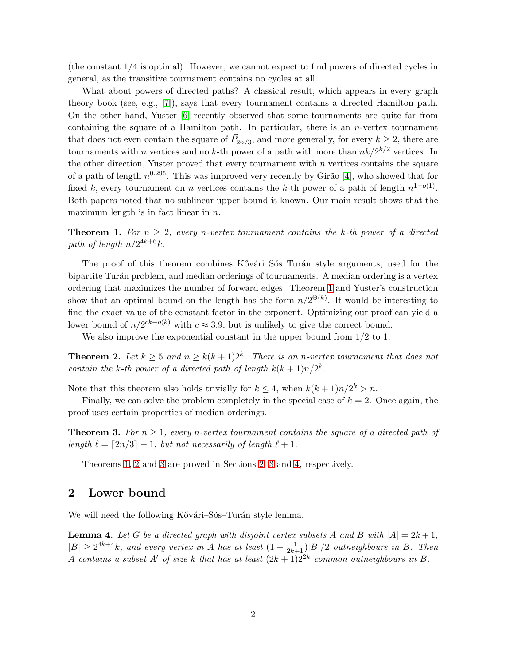(the constant 1/4 is optimal). However, we cannot expect to find powers of directed cycles in general, as the transitive tournament contains no cycles at all.

What about powers of directed paths? A classical result, which appears in every graph theory book (see, e.g., [\[7\]](#page-5-4)), says that every tournament contains a directed Hamilton path. On the other hand, Yuster [\[6\]](#page-5-5) recently observed that some tournaments are quite far from containing the square of a Hamilton path. In particular, there is an  $n$ -vertex tournament that does not even contain the square of  $\vec{P}_{2n/3}$ , and more generally, for every  $k \geq 2$ , there are tournaments with *n* vertices and no *k*-th power of a path with more than  $nk/2^{k/2}$  vertices. In the other direction, Yuster proved that every tournament with  $n$  vertices contains the square of a path of length  $n^{0.295}$ . This was improved very recently by Girão [\[4\]](#page-5-6), who showed that for fixed k, every tournament on n vertices contains the k-th power of a path of length  $n^{1-o(1)}$ . Both papers noted that no sublinear upper bound is known. Our main result shows that the maximum length is in fact linear in  $n$ .

<span id="page-1-0"></span>**Theorem 1.** For  $n > 2$ , every n-vertex tournament contains the k-th power of a directed path of length  $n/2^{4k+6}k$ .

The proof of this theorem combines Kővári–Sós–Turán style arguments, used for the bipartite Turán problem, and median orderings of tournaments. A median ordering is a vertex ordering that maximizes the number of forward edges. Theorem [1](#page-1-0) and Yuster's construction show that an optimal bound on the length has the form  $n/2^{\Theta(k)}$ . It would be interesting to find the exact value of the constant factor in the exponent. Optimizing our proof can yield a lower bound of  $n/2^{ck+o(k)}$  with  $c \approx 3.9$ , but is unlikely to give the correct bound.

<span id="page-1-1"></span>We also improve the exponential constant in the upper bound from  $1/2$  to 1.

**Theorem 2.** Let  $k \geq 5$  and  $n \geq k(k+1)2^k$ . There is an n-vertex tournament that does not *contain the* k-th power of a directed path of length  $k(k+1)n/2^k$ .

Note that this theorem also holds trivially for  $k \leq 4$ , when  $k(k+1)n/2^k > n$ .

<span id="page-1-2"></span>Finally, we can solve the problem completely in the special case of  $k = 2$ . Once again, the proof uses certain properties of median orderings.

**Theorem 3.** For  $n \geq 1$ , every n-vertex tournament contains the square of a directed path of *length*  $\ell = \lceil 2n/3 \rceil - 1$ , *but not necessarily of length*  $\ell + 1$ .

Theorems [1,](#page-1-0) [2](#page-1-1) and [3](#page-1-2) are proved in Sections [2,](#page-1-3) [3](#page-3-0) and [4,](#page-3-1) respectively.

### <span id="page-1-3"></span>2 Lower bound

<span id="page-1-4"></span>We will need the following Kővári–Sós–Turán style lemma.

**Lemma 4.** Let G be a directed graph with disjoint vertex subsets A and B with  $|A| = 2k + 1$ ,  $|B| \geq 2^{4k+4}k$ , and every vertex in A has at least  $(1 - \frac{1}{2k+1})|B|/2$  outneighbours in B. Then A contains a subset A' of size k that has at least  $(2k+1)2^{2k}$  common outneighbours in B.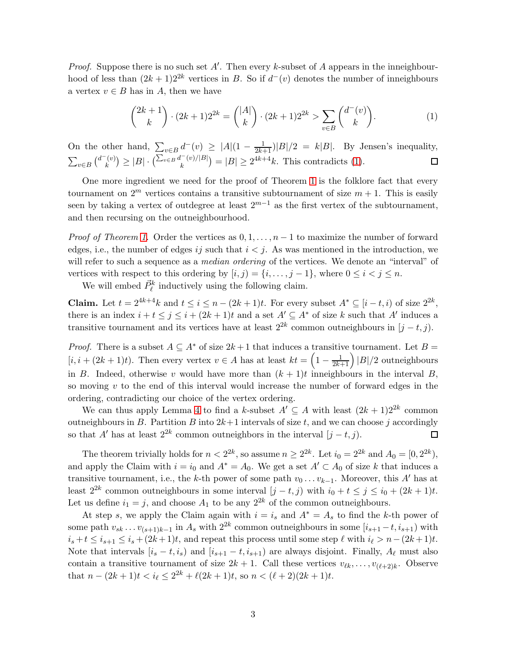*Proof.* Suppose there is no such set  $A'$ . Then every k-subset of  $A$  appears in the inneighbourhood of less than  $(2k+1)2^{2k}$  vertices in B. So if  $d^-(v)$  denotes the number of inneighbours a vertex  $v \in B$  has in A, then we have

<span id="page-2-0"></span>
$$
\binom{2k+1}{k} \cdot (2k+1)2^{2k} = \binom{|A|}{k} \cdot (2k+1)2^{2k} > \sum_{v \in B} \binom{d^-(v)}{k}.\tag{1}
$$

On the other hand,  $\sum_{v \in B} d^{-}(v) \geq |A|(1 - \frac{1}{2k+1})|B|/2 = k|B|$ . By Jensen's inequality,  $\sum_{v \in B} \binom{d^-(v)}{k}$  $\binom{[v]}{k} \ge |B| \cdot \left( \frac{\sum_{v \in B} d^-(v) / |B|}{k} \right)$  $\binom{[r]}{k} = |B| \ge 2^{4k+4}k$ . This contradicts [\(1\)](#page-2-0).

One more ingredient we need for the proof of Theorem [1](#page-1-0) is the folklore fact that every tournament on  $2^m$  vertices contains a transitive subtournament of size  $m + 1$ . This is easily seen by taking a vertex of outdegree at least  $2^{m-1}$  as the first vertex of the subtournament, and then recursing on the outneighbourhood.

*Proof of Theorem [1.](#page-1-0)* Order the vertices as  $0, 1, \ldots, n-1$  to maximize the number of forward edges, i.e., the number of edges ij such that  $i < j$ . As was mentioned in the introduction, we will refer to such a sequence as a *median ordering* of the vertices. We denote an "interval" of vertices with respect to this ordering by  $[i, j) = \{i, \ldots, j-1\}$ , where  $0 \le i < j \le n$ .

We will embed  $\vec{P}_{\ell}^{k}$  inductively using the following claim.

**Claim.** Let  $t = 2^{4k+4}k$  and  $t \leq i \leq n - (2k+1)t$ . For every subset  $A^* \subseteq [i-t, i)$  of size  $2^{2k}$ , there is an index  $i + t \leq j \leq i + (2k + 1)t$  and a set  $A' \subseteq A^*$  of size k such that A' induces a transitive tournament and its vertices have at least  $2^{2k}$  common outneighbours in  $(j - t, j)$ .

*Proof.* There is a subset  $A \subseteq A^*$  of size  $2k+1$  that induces a transitive tournament. Let  $B =$  $[i, i + (2k+1)t]$ . Then every vertex  $v \in A$  has at least  $kt = \left(1 - \frac{1}{2k+1}\right)|B|/2$  outneighbours in B. Indeed, otherwise v would have more than  $(k + 1)t$  inneighbours in the interval B, so moving  $v$  to the end of this interval would increase the number of forward edges in the ordering, contradicting our choice of the vertex ordering.

We can thus apply Lemma [4](#page-1-4) to find a k-subset  $A' \subseteq A$  with least  $(2k+1)2^{2k}$  common outneighbours in B. Partition B into  $2k+1$  intervals of size t, and we can choose j accordingly so that A' has at least  $2^{2k}$  common outneighbors in the interval  $(j - t, j)$ .  $\Box$ 

The theorem trivially holds for  $n < 2^{2k}$ , so assume  $n \ge 2^{2k}$ . Let  $i_0 = 2^{2k}$  and  $A_0 = [0, 2^{2k})$ , and apply the Claim with  $i = i_0$  and  $A^* = A_0$ . We get a set  $A' \subset A_0$  of size k that induces a transitive tournament, i.e., the k-th power of some path  $v_0 \dots v_{k-1}$ . Moreover, this A' has at least  $2^{2k}$  common outneighbours in some interval  $[j - t, j)$  with  $i_0 + t \leq j \leq i_0 + (2k + 1)t$ . Let us define  $i_1 = j$ , and choose  $A_1$  to be any  $2^{2k}$  of the common outneighbours.

At step s, we apply the Claim again with  $i = i_s$  and  $A^* = A_s$  to find the k-th power of some path  $v_{sk} \dots v_{(s+1)k-1}$  in  $A_s$  with  $2^{2k}$  common outneighbours in some  $[i_{s+1}-t, i_{s+1})$  with  $i_s + t \le i_{s+1} \le i_s + (2k+1)t$ , and repeat this process until some step  $\ell$  with  $i_{\ell} > n-(2k+1)t$ . Note that intervals  $[i_s - t, i_s]$  and  $[i_{s+1} - t, i_{s+1}]$  are always disjoint. Finally,  $A_\ell$  must also contain a transitive tournament of size  $2k + 1$ . Call these vertices  $v_{\ell k}, \ldots, v_{(\ell+2)k}$ . Observe that  $n - (2k+1)t < i_{\ell} \leq 2^{2k} + \ell(2k+1)t$ , so  $n < (\ell+2)(2k+1)t$ .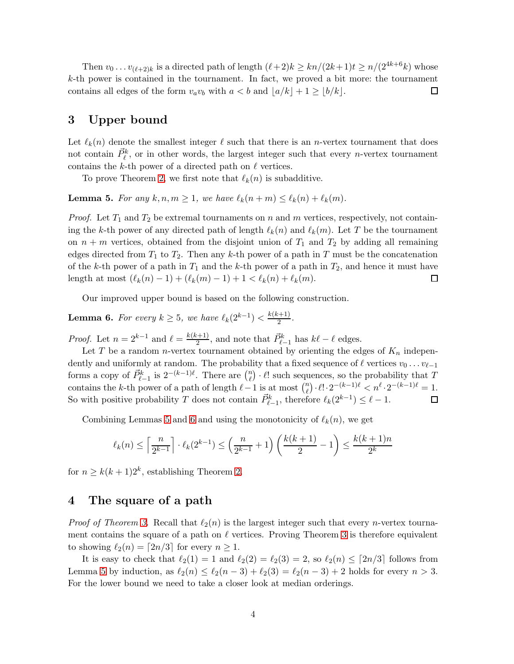Then  $v_0 \dots v_{(\ell+2)k}$  is a directed path of length  $(\ell+2)k \geq kn/(2k+1)t \geq n/(2^{4k+6}k)$  whose k-th power is contained in the tournament. In fact, we proved a bit more: the tournament contains all edges of the form  $v_a v_b$  with  $a < b$  and  $\lfloor a/k \rfloor + 1 \geq \lfloor b/k \rfloor$ . □

## <span id="page-3-0"></span>3 Upper bound

Let  $\ell_k(n)$  denote the smallest integer  $\ell$  such that there is an *n*-vertex tournament that does not contain  $\vec{P}_{\ell}^{k}$ , or in other words, the largest integer such that every *n*-vertex tournament contains the k-th power of a directed path on  $\ell$  vertices.

<span id="page-3-2"></span>To prove Theorem [2,](#page-1-1) we first note that  $\ell_k(n)$  is subadditive.

**Lemma 5.** For any  $k, n, m \geq 1$ , we have  $\ell_k(n+m) \leq \ell_k(n) + \ell_k(m)$ .

*Proof.* Let  $T_1$  and  $T_2$  be extremal tournaments on n and m vertices, respectively, not containing the k-th power of any directed path of length  $\ell_k(n)$  and  $\ell_k(m)$ . Let T be the tournament on  $n + m$  vertices, obtained from the disjoint union of  $T_1$  and  $T_2$  by adding all remaining edges directed from  $T_1$  to  $T_2$ . Then any k-th power of a path in T must be the concatenation of the k-th power of a path in  $T_1$  and the k-th power of a path in  $T_2$ , and hence it must have length at most  $(\ell_k(n) - 1) + (\ell_k(m) - 1) + 1 < \ell_k(n) + \ell_k(m)$ .  $\Box$ 

<span id="page-3-3"></span>Our improved upper bound is based on the following construction.

**Lemma 6.** For every  $k \geq 5$ , we have  $\ell_k(2^{k-1}) < \frac{k(k+1)}{2}$  $\frac{(n+1)}{2}$ .

*Proof.* Let  $n = 2^{k-1}$  and  $\ell = \frac{k(k+1)}{2}$  $\frac{E^{i+1}}{2}$ , and note that  $\vec{P}_{\ell-1}^k$  has  $k\ell - \ell$  edges.

Let T be a random *n*-vertex tournament obtained by orienting the edges of  $K_n$  independently and uniformly at random. The probability that a fixed sequence of  $\ell$  vertices  $v_0 \ldots v_{\ell-1}$ forms a copy of  $\vec{P}_{\ell-1}^k$  is  $2^{-(k-1)\ell}$ . There are  $\binom{n}{\ell}$  $\ell$ )  $\ell!$  such sequences, so the probability that T contains the k-th power of a path of length  $\ell - 1$  is at most  $\binom{n}{\ell}$  $\binom{n}{\ell} \cdot \ell! \cdot 2^{-(k-1)\ell} < n^{\ell} \cdot 2^{-(k-1)\ell} = 1.$ So with positive probability T does not contain  $\vec{P}_{\ell-1}^k$ , therefore  $\ell_k(2^{k-1}) \leq \ell - 1$ . □

Combining Lemmas [5](#page-3-2) and [6](#page-3-3) and using the monotonicity of  $\ell_k(n)$ , we get

$$
\ell_k(n) \le \left\lceil \frac{n}{2^{k-1}} \right\rceil \cdot \ell_k(2^{k-1}) \le \left(\frac{n}{2^{k-1}} + 1\right) \left(\frac{k(k+1)}{2} - 1\right) \le \frac{k(k+1)n}{2^k}
$$

for  $n \geq k(k+1)2^k$ , establishing Theorem [2.](#page-1-1)

### <span id="page-3-1"></span>4 The square of a path

*Proof of Theorem [3.](#page-1-2)* Recall that  $\ell_2(n)$  is the largest integer such that every *n*-vertex tournament contains the square of a path on  $\ell$  vertices. Proving Theorem [3](#page-1-2) is therefore equivalent to showing  $\ell_2(n) = \lfloor 2n/3 \rfloor$  for every  $n \geq 1$ .

It is easy to check that  $\ell_2(1) = 1$  and  $\ell_2(2) = \ell_2(3) = 2$ , so  $\ell_2(n) \leq \lceil 2n/3 \rceil$  follows from Lemma [5](#page-3-2) by induction, as  $\ell_2(n) \leq \ell_2(n-3) + \ell_2(3) = \ell_2(n-3) + 2$  holds for every  $n > 3$ . For the lower bound we need to take a closer look at median orderings.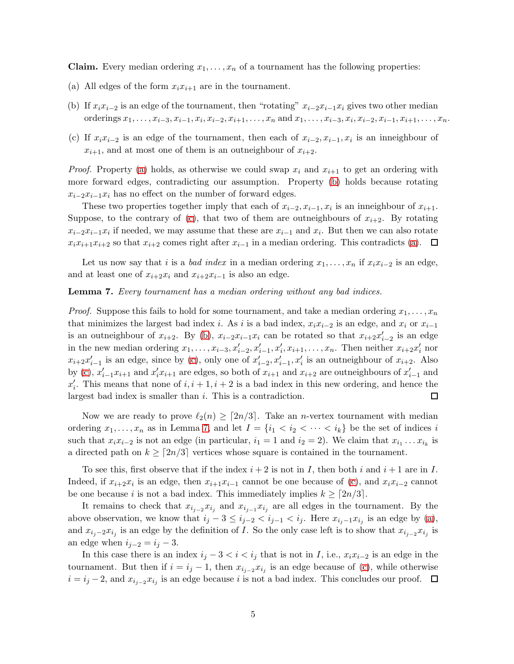<span id="page-4-0"></span>**Claim.** Every median ordering  $x_1, \ldots, x_n$  of a tournament has the following properties:

- <span id="page-4-1"></span>(a) All edges of the form  $x_i x_{i+1}$  are in the tournament.
- <span id="page-4-2"></span>(b) If  $x_ix_{i-2}$  is an edge of the tournament, then "rotating"  $x_{i-2}x_{i-1}x_i$  gives two other median orderings  $x_1, \ldots, x_{i-3}, x_{i-1}, x_i, x_{i-2}, x_{i+1}, \ldots, x_n$  and  $x_1, \ldots, x_{i-3}, x_i, x_{i-2}, x_{i-1}, x_{i+1}, \ldots, x_n$ .
- (c) If  $x_i x_{i-2}$  is an edge of the tournament, then each of  $x_{i-2}, x_{i-1}, x_i$  is an inneighbour of  $x_{i+1}$ , and at most one of them is an outneighbour of  $x_{i+2}$ .

*Proof.* Property [\(a\)](#page-4-0) holds, as otherwise we could swap  $x_i$  and  $x_{i+1}$  to get an ordering with more forward edges, contradicting our assumption. Property [\(b\)](#page-4-1) holds because rotating  $x_{i-2}x_{i-1}x_i$  has no effect on the number of forward edges.

These two properties together imply that each of  $x_{i-2}, x_{i-1}, x_i$  is an inneighbour of  $x_{i+1}$ . Suppose, to the contrary of [\(c\)](#page-4-2), that two of them are outneighbours of  $x_{i+2}$ . By rotating  $x_{i-2}x_{i-1}x_i$  if needed, we may assume that these are  $x_{i-1}$  and  $x_i$ . But then we can also rotate  $x_i x_{i+1} x_{i+2}$  so that  $x_{i+2}$  comes right after  $x_{i-1}$  in a median ordering. This contradicts [\(a\)](#page-4-0).  $\Box$ 

<span id="page-4-3"></span>Let us now say that *i* is a *bad index* in a median ordering  $x_1, \ldots, x_n$  if  $x_i x_{i-2}$  is an edge, and at least one of  $x_{i+2}x_i$  and  $x_{i+2}x_{i-1}$  is also an edge.

#### Lemma 7. *Every tournament has a median ordering without any bad indices.*

*Proof.* Suppose this fails to hold for some tournament, and take a median ordering  $x_1, \ldots, x_n$ that minimizes the largest bad index i. As i is a bad index,  $x_i x_{i-2}$  is an edge, and  $x_i$  or  $x_{i-1}$ is an outneighbour of  $x_{i+2}$ . By [\(b\)](#page-4-1),  $x_{i-2}x_{i-1}x_i$  can be rotated so that  $x_{i+2}x'_{i-2}$  is an edge in the new median ordering  $x_1, \ldots, x_{i-3}, x'_{i-2}, x'_{i-1}, x'_{i}, x_{i+1}, \ldots, x_n$ . Then neither  $x_{i+2}x'_{i}$  nor  $x_{i+2}x'_{i-1}$  is an edge, since by [\(c\)](#page-4-2), only one of  $x'_{i-2}, x'_{i-1}, x'_{i}$  is an outneighbour of  $x_{i+2}$ . Also by [\(c\)](#page-4-2),  $x'_{i-1}x_{i+1}$  and  $x'_{i}x_{i+1}$  are edges, so both of  $x_{i+1}$  and  $x_{i+2}$  are outneighbours of  $x'_{i-1}$  and  $x'_i$ . This means that none of  $i, i + 1, i + 2$  is a bad index in this new ordering, and hence the largest bad index is smaller than i. This is a contradiction.  $\Box$ 

Now we are ready to prove  $\ell_2(n) \geq \lceil 2n/3 \rceil$ . Take an *n*-vertex tournament with median ordering  $x_1, \ldots, x_n$  as in Lemma [7,](#page-4-3) and let  $I = \{i_1 < i_2 < \cdots < i_k\}$  be the set of indices i such that  $x_i x_{i-2}$  is not an edge (in particular,  $i_1 = 1$  and  $i_2 = 2$ ). We claim that  $x_{i_1} \ldots x_{i_k}$  is a directed path on  $k \geq \lceil 2n/3 \rceil$  vertices whose square is contained in the tournament.

To see this, first observe that if the index  $i + 2$  is not in I, then both i and  $i + 1$  are in I. Indeed, if  $x_{i+2}x_i$  is an edge, then  $x_{i+1}x_{i-1}$  cannot be one because of [\(c\)](#page-4-2), and  $x_ix_{i-2}$  cannot be one because i is not a bad index. This immediately implies  $k \geq \lceil 2n/3 \rceil$ .

It remains to check that  $x_{i_{j-2}}x_{i_j}$  and  $x_{i_{j-1}}x_{i_j}$  are all edges in the tournament. By the above observation, we know that  $i_j - 3 \leq i_{j-2} < i_{j-1} < i_j$ . Here  $x_{i_j-1}x_{i_j}$  is an edge by [\(a\)](#page-4-0), and  $x_{i_j-2}x_{i_j}$  is an edge by the definition of I. So the only case left is to show that  $x_{i_{j-2}}x_{i_j}$  is an edge when  $i_{j-2} = i_j - 3$ .

In this case there is an index  $i_j - 3 < i < i_j$  that is not in I, i.e.,  $x_i x_{i-2}$  is an edge in the tournament. But then if  $i = i_j - 1$ , then  $x_{i_{j-2}} x_{i_j}$  is an edge because of [\(c\)](#page-4-2), while otherwise  $i = i_j - 2$ , and  $x_{i_{j-2}} x_{i_j}$  is an edge because i is not a bad index. This concludes our proof.